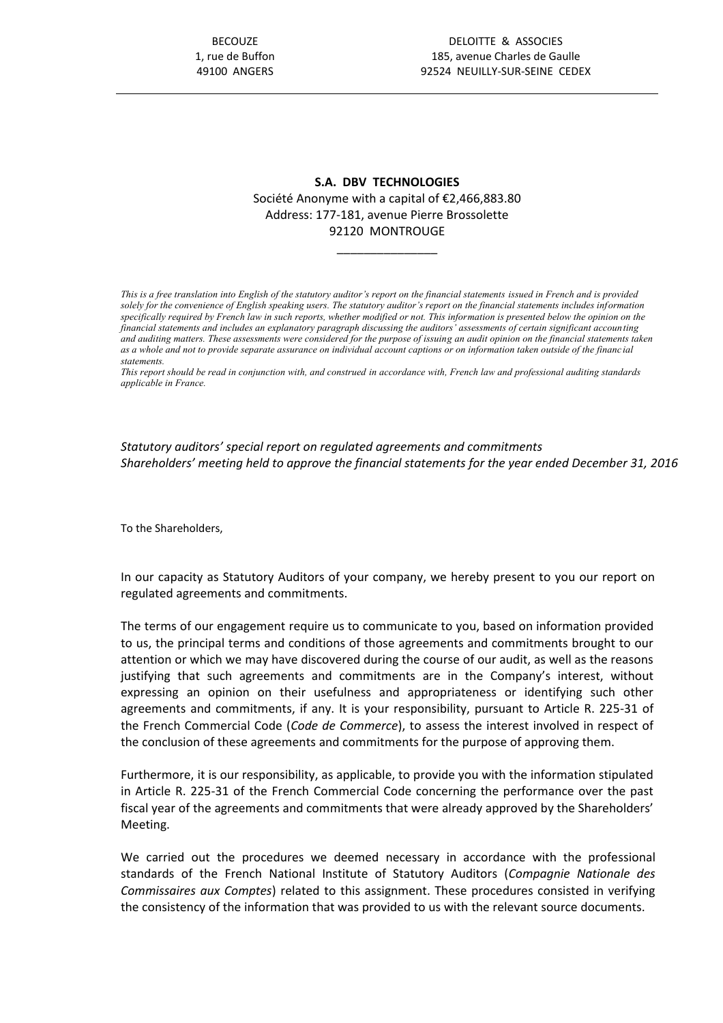# **S.A. DBV TECHNOLOGIES** Société Anonyme with a capital of €2,466,883.80 Address: 177-181, avenue Pierre Brossolette 92120 MONTROUGE

\_\_\_\_\_\_\_\_\_\_\_\_\_\_\_

*This is a free translation into English of the statutory auditor's report on the financial statements issued in French and is provided solely for the convenience of English speaking users. The statutory auditor's report on the financial statements includes information*  specifically required by French law in such reports, whether modified or not. This information is presented below the opinion on the *financial statements and includes an explanatory paragraph discussing the auditors' assessments of certain significant accounting and auditing matters. These assessments were considered for the purpose of issuing an audit opinion on the financial statements taken as a whole and not to provide separate assurance on individual account captions or on information taken outside of the financ ial statements.* 

*This report should be read in conjunction with, and construed in accordance with, French law and professional auditing standards applicable in France.*

*Statutory auditors' special report on regulated agreements and commitments Shareholders' meeting held to approve the financial statements for the year ended December 31, 2016*

To the Shareholders,

In our capacity as Statutory Auditors of your company, we hereby present to you our report on regulated agreements and commitments.

The terms of our engagement require us to communicate to you, based on information provided to us, the principal terms and conditions of those agreements and commitments brought to our attention or which we may have discovered during the course of our audit, as well as the reasons justifying that such agreements and commitments are in the Company's interest, without expressing an opinion on their usefulness and appropriateness or identifying such other agreements and commitments, if any. It is your responsibility, pursuant to Article R. 225-31 of the French Commercial Code (*Code de Commerce*), to assess the interest involved in respect of the conclusion of these agreements and commitments for the purpose of approving them.

Furthermore, it is our responsibility, as applicable, to provide you with the information stipulated in Article R. 225-31 of the French Commercial Code concerning the performance over the past fiscal year of the agreements and commitments that were already approved by the Shareholders' Meeting.

We carried out the procedures we deemed necessary in accordance with the professional standards of the French National Institute of Statutory Auditors (*Compagnie Nationale des Commissaires aux Comptes*) related to this assignment. These procedures consisted in verifying the consistency of the information that was provided to us with the relevant source documents.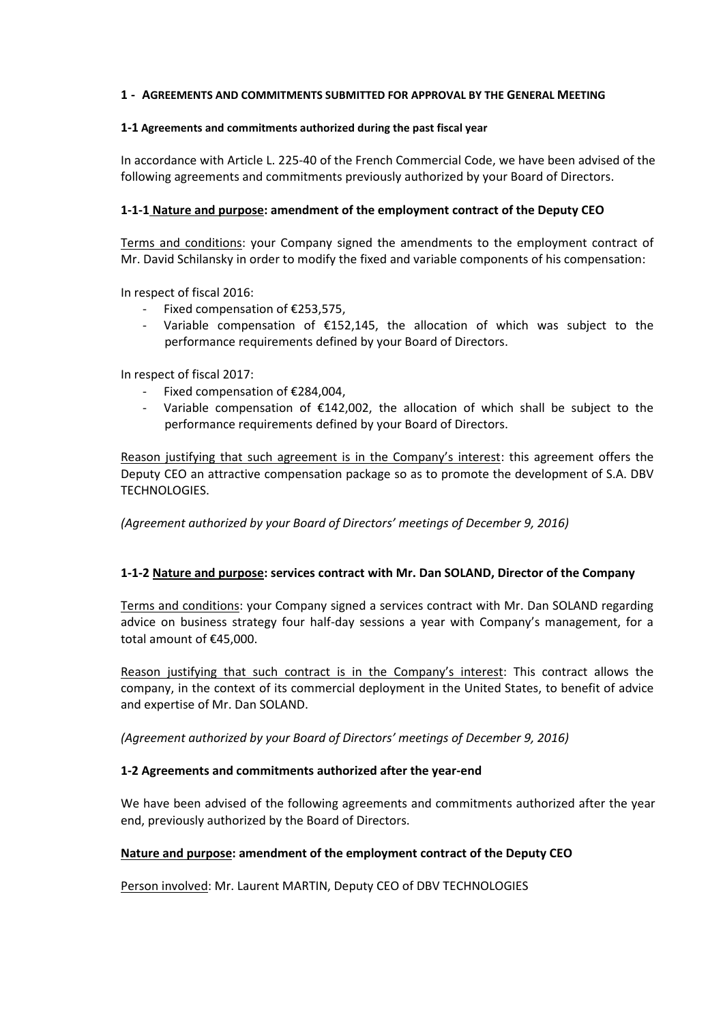### **1 - AGREEMENTS AND COMMITMENTS SUBMITTED FOR APPROVAL BY THE GENERAL MEETING**

#### **1-1 Agreements and commitments authorized during the past fiscal year**

In accordance with Article L. 225-40 of the French Commercial Code, we have been advised of the following agreements and commitments previously authorized by your Board of Directors.

### **1-1-1 Nature and purpose: amendment of the employment contract of the Deputy CEO**

Terms and conditions: your Company signed the amendments to the employment contract of Mr. David Schilansky in order to modify the fixed and variable components of his compensation:

In respect of fiscal 2016:

- Fixed compensation of €253,575,
- Variable compensation of  $£152,145$ , the allocation of which was subject to the performance requirements defined by your Board of Directors.

In respect of fiscal 2017:

- Fixed compensation of €284,004,
- Variable compensation of  $£142,002$ , the allocation of which shall be subject to the performance requirements defined by your Board of Directors.

Reason justifying that such agreement is in the Company's interest: this agreement offers the Deputy CEO an attractive compensation package so as to promote the development of S.A. DBV TECHNOLOGIES.

*(Agreement authorized by your Board of Directors' meetings of December 9, 2016)*

### **1-1-2 Nature and purpose: services contract with Mr. Dan SOLAND, Director of the Company**

Terms and conditions: your Company signed a services contract with Mr. Dan SOLAND regarding advice on business strategy four half-day sessions a year with Company's management, for a total amount of €45,000.

Reason justifying that such contract is in the Company's interest: This contract allows the company, in the context of its commercial deployment in the United States, to benefit of advice and expertise of Mr. Dan SOLAND.

*(Agreement authorized by your Board of Directors' meetings of December 9, 2016)*

### **1-2 Agreements and commitments authorized after the year-end**

We have been advised of the following agreements and commitments authorized after the year end, previously authorized by the Board of Directors.

### **Nature and purpose: amendment of the employment contract of the Deputy CEO**

Person involved: Mr. Laurent MARTIN, Deputy CEO of DBV TECHNOLOGIES